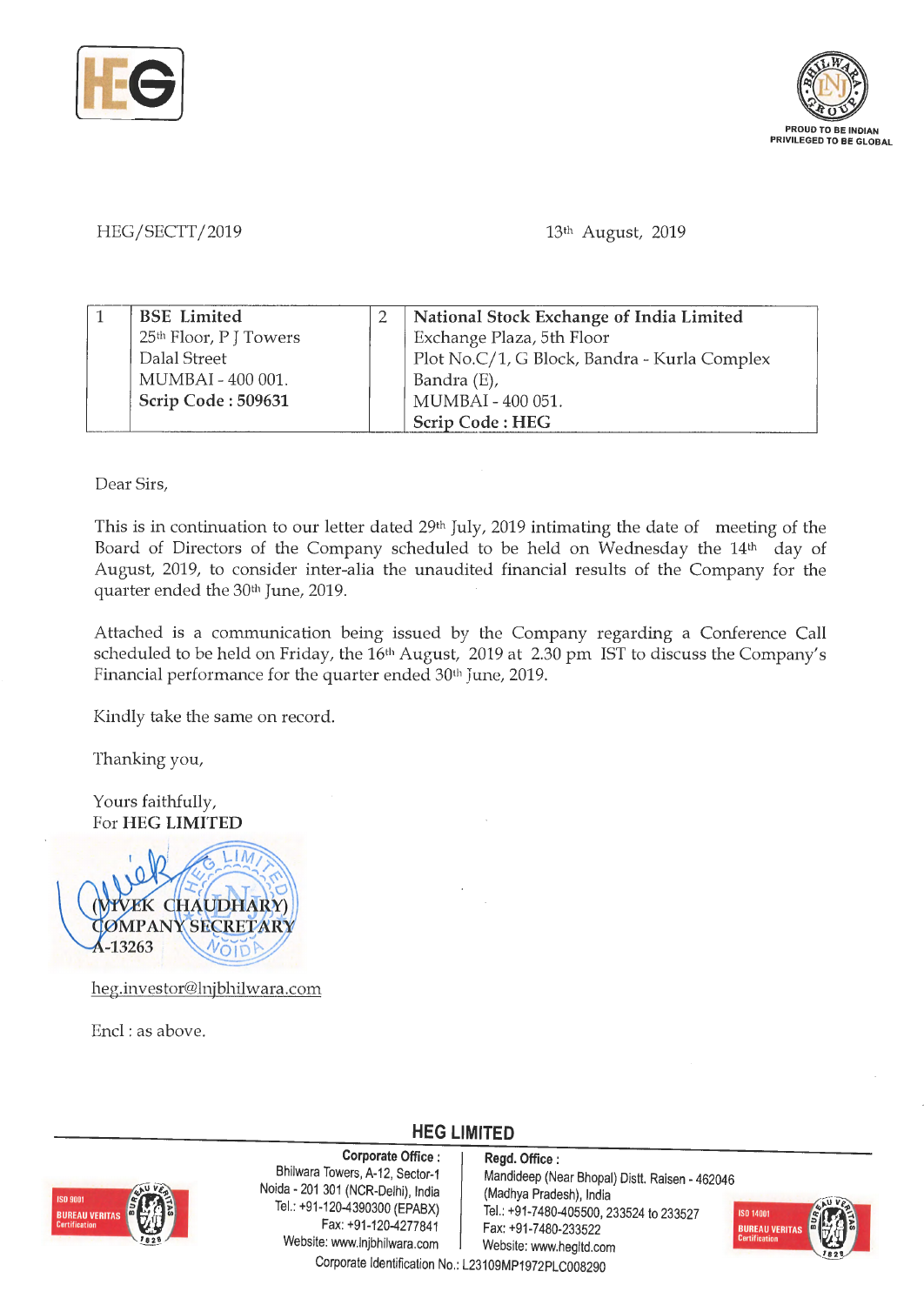



HEG/SECTT/2019

13th August, 2019

| <b>BSE</b> Limited     | National Stock Exchange of India Limited     |
|------------------------|----------------------------------------------|
| 25th Floor, P J Towers | Exchange Plaza, 5th Floor                    |
| Dalal Street           | Plot No.C/1, G Block, Bandra - Kurla Complex |
| MUMBAI - 400 001.      | Bandra (E),                                  |
| Scrip Code: 509631     | MUMBAI - 400 051.                            |
|                        | Scrip Code: HEG                              |

Dear Sirs,

This is in continuation to our letter dated 29th July, 2019 intimating the date of meeting of the Board of Directors of the Company scheduled to be held on Wednesday the 14<sup>th</sup> day of August, 2019, to consider inter-alia the unaudited financial results of the Company for the quarter ended the 30th June, 2019.

Attached is a communication being issued by the Company regarding a Conference Call scheduled to be held on Friday, the 16<sup>th</sup> August, 2019 at 2.30 pm IST to discuss the Company's Financial performance for the quarter ended 30<sup>th</sup> June, 2019.

Kindly take the same on record.

Thanking you,

Yours faithfully, For **HEG LIMITED** 



heg.investor@lnjbhilwara.com

Encl: as above.



**Corporate Office : Regd. Office :**<br>Bhilwara Towers, A-12, Sector-1 **Mandideep** (Ne Noida - 201 301 (NCR-Delhi), India<br>Tel.: +91-120-4390300 (EPABX) Website: www.lnjbhilwara.com | Website: www.hegltd.com

Mandideep (Near Bhopal) Distt. Raisen - 462046<br>(Madhya Pradesh), India -120-4390300 (EPABX) | Tel.: +91-7480-405500, 233524 to 233527<br>Fax: +91-120-4277841 | Fax: +91-7480-233522 Fax: +91-7480-233522



Corporate Identification No.: L23109MP1972PLC008290

**HEG LIMITED**